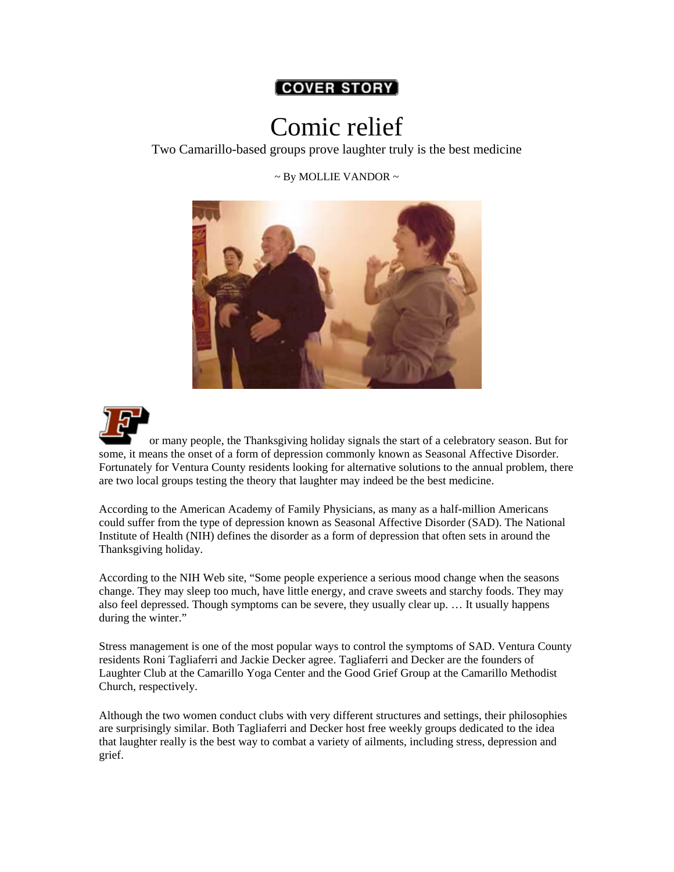## **[COVER STORY]**

## Comic relief

Two Camarillo-based groups prove laughter truly is the best medicine

 $\sim$  By MOLLIE VANDOR  $\sim$ 





or many people, the Thanksgiving holiday signals the start of a celebratory season. But for some, it means the onset of a form of depression commonly known as Seasonal Affective Disorder. Fortunately for Ventura County residents looking for alternative solutions to the annual problem, there are two local groups testing the theory that laughter may indeed be the best medicine.

According to the American Academy of Family Physicians, as many as a half-million Americans could suffer from the type of depression known as Seasonal Affective Disorder (SAD). The National Institute of Health (NIH) defines the disorder as a form of depression that often sets in around the Thanksgiving holiday.

According to the NIH Web site, "Some people experience a serious mood change when the seasons change. They may sleep too much, have little energy, and crave sweets and starchy foods. They may also feel depressed. Though symptoms can be severe, they usually clear up. … It usually happens during the winter."

Stress management is one of the most popular ways to control the symptoms of SAD. Ventura County residents Roni Tagliaferri and Jackie Decker agree. Tagliaferri and Decker are the founders of Laughter Club at the Camarillo Yoga Center and the Good Grief Group at the Camarillo Methodist Church, respectively.

Although the two women conduct clubs with very different structures and settings, their philosophies are surprisingly similar. Both Tagliaferri and Decker host free weekly groups dedicated to the idea that laughter really is the best way to combat a variety of ailments, including stress, depression and grief.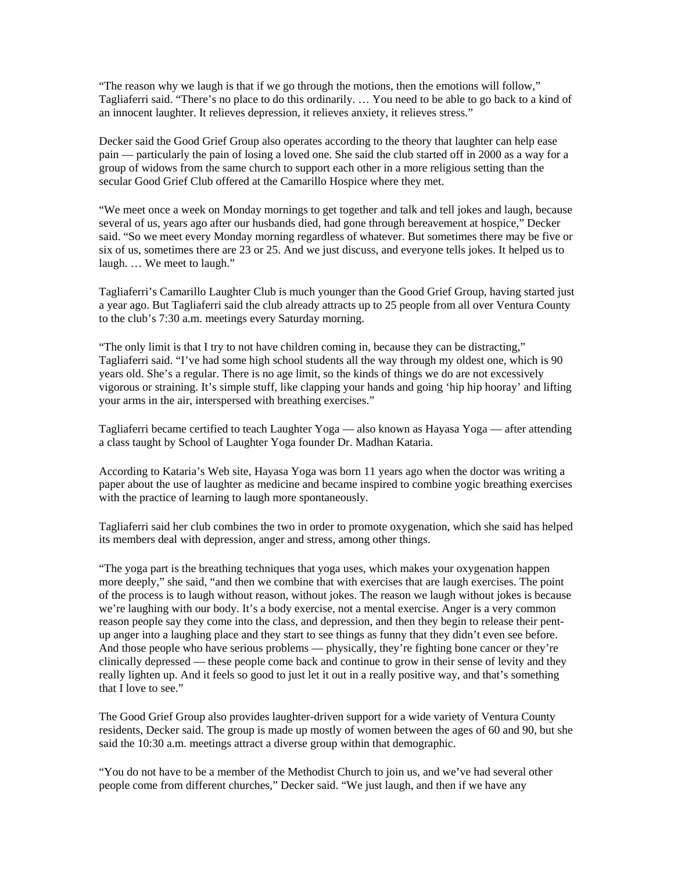"The reason why we laugh is that if we go through the motions, then the emotions will follow," Tagliaferri said. "There's no place to do this ordinarily. … You need to be able to go back to a kind of an innocent laughter. It relieves depression, it relieves anxiety, it relieves stress."

Decker said the Good Grief Group also operates according to the theory that laughter can help ease pain — particularly the pain of losing a loved one. She said the club started off in 2000 as a way for a group of widows from the same church to support each other in a more religious setting than the secular Good Grief Club offered at the Camarillo Hospice where they met.

"We meet once a week on Monday mornings to get together and talk and tell jokes and laugh, because several of us, years ago after our husbands died, had gone through bereavement at hospice," Decker said. "So we meet every Monday morning regardless of whatever. But sometimes there may be five or six of us, sometimes there are 23 or 25. And we just discuss, and everyone tells jokes. It helped us to laugh. … We meet to laugh."

Tagliaferri's Camarillo Laughter Club is much younger than the Good Grief Group, having started just a year ago. But Tagliaferri said the club already attracts up to 25 people from all over Ventura County to the club's 7:30 a.m. meetings every Saturday morning.

"The only limit is that I try to not have children coming in, because they can be distracting," Tagliaferri said. "I've had some high school students all the way through my oldest one, which is 90 years old. She's a regular. There is no age limit, so the kinds of things we do are not excessively vigorous or straining. It's simple stuff, like clapping your hands and going 'hip hip hooray' and lifting your arms in the air, interspersed with breathing exercises."

Tagliaferri became certified to teach Laughter Yoga — also known as Hayasa Yoga — after attending a class taught by School of Laughter Yoga founder Dr. Madhan Kataria.

According to Kataria's Web site, Hayasa Yoga was born 11 years ago when the doctor was writing a paper about the use of laughter as medicine and became inspired to combine yogic breathing exercises with the practice of learning to laugh more spontaneously.

Tagliaferri said her club combines the two in order to promote oxygenation, which she said has helped its members deal with depression, anger and stress, among other things.

"The yoga part is the breathing techniques that yoga uses, which makes your oxygenation happen more deeply," she said, "and then we combine that with exercises that are laugh exercises. The point of the process is to laugh without reason, without jokes. The reason we laugh without jokes is because we're laughing with our body. It's a body exercise, not a mental exercise. Anger is a very common reason people say they come into the class, and depression, and then they begin to release their pentup anger into a laughing place and they start to see things as funny that they didn't even see before. And those people who have serious problems — physically, they're fighting bone cancer or they're clinically depressed — these people come back and continue to grow in their sense of levity and they really lighten up. And it feels so good to just let it out in a really positive way, and that's something that I love to see."

The Good Grief Group also provides laughter-driven support for a wide variety of Ventura County residents, Decker said. The group is made up mostly of women between the ages of 60 and 90, but she said the 10:30 a.m. meetings attract a diverse group within that demographic.

"You do not have to be a member of the Methodist Church to join us, and we've had several other people come from different churches," Decker said. "We just laugh, and then if we have any